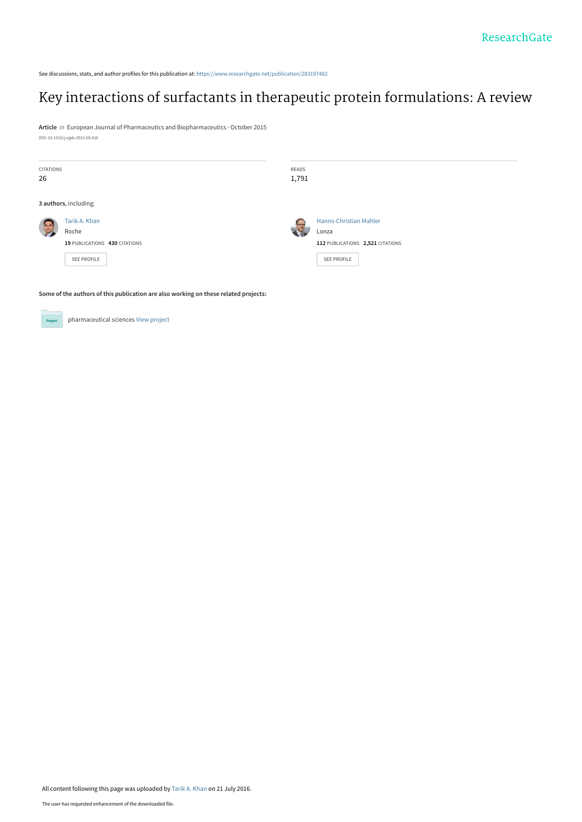See discussions, stats, and author profiles for this publication at: [https://www.researchgate.net/publication/283197482](https://www.researchgate.net/publication/283197482_Key_interactions_of_surfactants_in_therapeutic_protein_formulations_A_review?enrichId=rgreq-117698e1b8ea7606893d28a66efb3624-XXX&enrichSource=Y292ZXJQYWdlOzI4MzE5NzQ4MjtBUzozODYyOTMxNDI5NjYyNzJAMTQ2OTExMDg3MDQ2Mw%3D%3D&el=1_x_2&_esc=publicationCoverPdf)

## [Key interactions of surfactants in therapeutic protein formulations: A review](https://www.researchgate.net/publication/283197482_Key_interactions_of_surfactants_in_therapeutic_protein_formulations_A_review?enrichId=rgreq-117698e1b8ea7606893d28a66efb3624-XXX&enrichSource=Y292ZXJQYWdlOzI4MzE5NzQ4MjtBUzozODYyOTMxNDI5NjYyNzJAMTQ2OTExMDg3MDQ2Mw%3D%3D&el=1_x_3&_esc=publicationCoverPdf)

**Article** in European Journal of Pharmaceutics and Biopharmaceutics · October 2015 DOI: 10.1016/j.ejpb.2015.09.016

| <b>CITATIONS</b><br>26 |                                                     | READS<br>1,791 |                                                 |
|------------------------|-----------------------------------------------------|----------------|-------------------------------------------------|
|                        | 3 authors, including:<br>Tarik A. Khan              |                | <b>Hanns-Christian Mahler</b>                   |
| <b>SE</b>              | Roche                                               |                | Lonza                                           |
|                        | 19 PUBLICATIONS 430 CITATIONS<br><b>SEE PROFILE</b> |                | 112 PUBLICATIONS 2,521 CITATIONS<br>SEE PROFILE |

**Some of the authors of this publication are also working on these related projects:**



pharmaceutical sciences [View project](https://www.researchgate.net/project/pharmaceutical-sciences-2?enrichId=rgreq-117698e1b8ea7606893d28a66efb3624-XXX&enrichSource=Y292ZXJQYWdlOzI4MzE5NzQ4MjtBUzozODYyOTMxNDI5NjYyNzJAMTQ2OTExMDg3MDQ2Mw%3D%3D&el=1_x_9&_esc=publicationCoverPdf)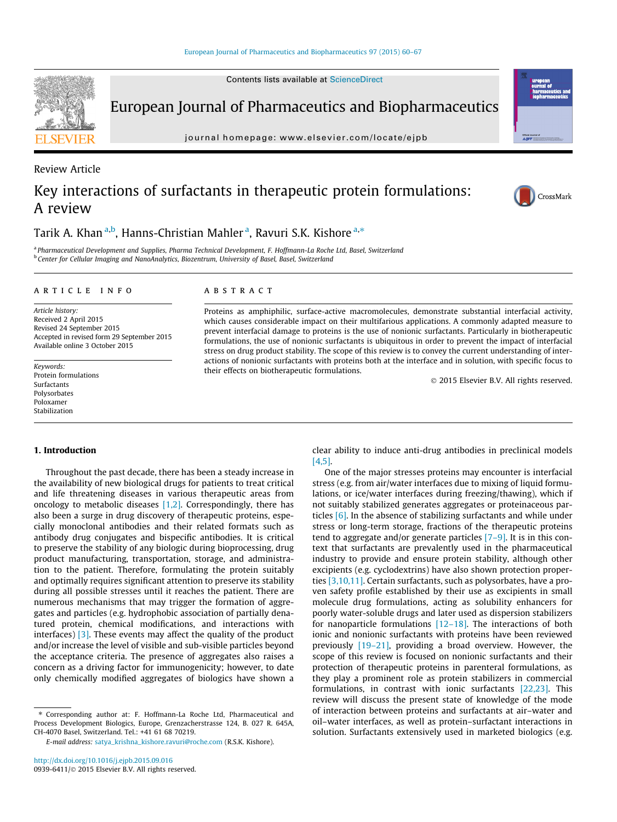European Journal of Pharmaceutics and Biopharmaceutics

journal homepage: [www.elsevier.com/locate/ejpb](http://www.elsevier.com/locate/ejpb)

# Key interactions of surfactants in therapeutic protein formulations: A review

Tarik A. Khan <sup>a,b</sup>, Hanns-Christian Mahler <sup>a</sup>, Ravuri S.K. Kishore <sup>a,</sup>\*

<sup>a</sup> Pharmaceutical Development and Supplies, Pharma Technical Development, F. Hoffmann-La Roche Ltd, Basel, Switzerland **b Center for Cellular Imaging and NanoAnalytics, Biozentrum, University of Basel, Basel, Switzerland** 

#### article info

Article history: Received 2 April 2015 Revised 24 September 2015 Accepted in revised form 29 September 2015 Available online 3 October 2015

Keywords: Protein formulations Surfactants Polysorbates Poloxamer Stabilization

#### ABSTRACT

Proteins as amphiphilic, surface-active macromolecules, demonstrate substantial interfacial activity, which causes considerable impact on their multifarious applications. A commonly adapted measure to prevent interfacial damage to proteins is the use of nonionic surfactants. Particularly in biotherapeutic formulations, the use of nonionic surfactants is ubiquitous in order to prevent the impact of interfacial stress on drug product stability. The scope of this review is to convey the current understanding of interactions of nonionic surfactants with proteins both at the interface and in solution, with specific focus to their effects on biotherapeutic formulations.

2015 Elsevier B.V. All rights reserved.

#### 1. Introduction

Throughout the past decade, there has been a steady increase in the availability of new biological drugs for patients to treat critical and life threatening diseases in various therapeutic areas from oncology to metabolic diseases [\[1,2\]](#page-6-0). Correspondingly, there has also been a surge in drug discovery of therapeutic proteins, especially monoclonal antibodies and their related formats such as antibody drug conjugates and bispecific antibodies. It is critical to preserve the stability of any biologic during bioprocessing, drug product manufacturing, transportation, storage, and administration to the patient. Therefore, formulating the protein suitably and optimally requires significant attention to preserve its stability during all possible stresses until it reaches the patient. There are numerous mechanisms that may trigger the formation of aggregates and particles (e.g. hydrophobic association of partially denatured protein, chemical modifications, and interactions with interfaces) [\[3\].](#page-6-0) These events may affect the quality of the product and/or increase the level of visible and sub-visible particles beyond the acceptance criteria. The presence of aggregates also raises a concern as a driving factor for immunogenicity; however, to date only chemically modified aggregates of biologics have shown a

⇑ Corresponding author at: F. Hoffmann-La Roche Ltd, Pharmaceutical and Process Development Biologics, Europe, Grenzacherstrasse 124, B. 027 R. 645A, CH-4070 Basel, Switzerland. Tel.: +41 61 68 70219.

E-mail address: [satya\\_krishna\\_kishore.ravuri@roche.com](mailto:satya_krishna_kishore.ravuri@roche.com) (R.S.K. Kishore).

clear ability to induce anti-drug antibodies in preclinical models [\[4,5\]](#page-6-0).

One of the major stresses proteins may encounter is interfacial stress (e.g. from air/water interfaces due to mixing of liquid formulations, or ice/water interfaces during freezing/thawing), which if not suitably stabilized generates aggregates or proteinaceous particles [\[6\].](#page-6-0) In the absence of stabilizing surfactants and while under stress or long-term storage, fractions of the therapeutic proteins tend to aggregate and/or generate particles  $[7-9]$ . It is in this context that surfactants are prevalently used in the pharmaceutical industry to provide and ensure protein stability, although other excipients (e.g. cyclodextrins) have also shown protection properties [\[3,10,11\].](#page-6-0) Certain surfactants, such as polysorbates, have a proven safety profile established by their use as excipients in small molecule drug formulations, acting as solubility enhancers for poorly water-soluble drugs and later used as dispersion stabilizers for nanoparticle formulations  $[12-18]$ . The interactions of both ionic and nonionic surfactants with proteins have been reviewed previously [\[19–21\],](#page-6-0) providing a broad overview. However, the scope of this review is focused on nonionic surfactants and their protection of therapeutic proteins in parenteral formulations, as they play a prominent role as protein stabilizers in commercial formulations, in contrast with ionic surfactants [\[22,23\]](#page-6-0). This review will discuss the present state of knowledge of the mode of interaction between proteins and surfactants at air–water and oil–water interfaces, as well as protein–surfactant interactions in solution. Surfactants extensively used in marketed biologics (e.g.



Review Article



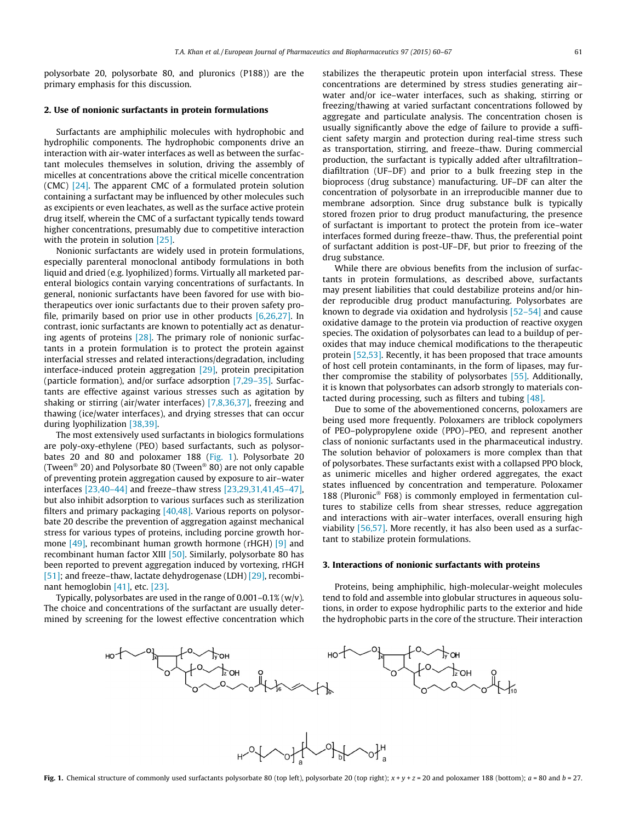polysorbate 20, polysorbate 80, and pluronics (P188)) are the primary emphasis for this discussion.

## 2. Use of nonionic surfactants in protein formulations

Surfactants are amphiphilic molecules with hydrophobic and hydrophilic components. The hydrophobic components drive an interaction with air-water interfaces as well as between the surfactant molecules themselves in solution, driving the assembly of micelles at concentrations above the critical micelle concentration (CMC) [\[24\]](#page-6-0). The apparent CMC of a formulated protein solution containing a surfactant may be influenced by other molecules such as excipients or even leachates, as well as the surface active protein drug itself, wherein the CMC of a surfactant typically tends toward higher concentrations, presumably due to competitive interaction with the protein in solution [\[25\].](#page-6-0)

Nonionic surfactants are widely used in protein formulations, especially parenteral monoclonal antibody formulations in both liquid and dried (e.g. lyophilized) forms. Virtually all marketed parenteral biologics contain varying concentrations of surfactants. In general, nonionic surfactants have been favored for use with biotherapeutics over ionic surfactants due to their proven safety profile, primarily based on prior use in other products  $[6,26,27]$ . In contrast, ionic surfactants are known to potentially act as denaturing agents of proteins [\[28\]](#page-6-0). The primary role of nonionic surfactants in a protein formulation is to protect the protein against interfacial stresses and related interactions/degradation, including interface-induced protein aggregation [\[29\]](#page-6-0), protein precipitation (particle formation), and/or surface adsorption [\[7,29–35\].](#page-6-0) Surfactants are effective against various stresses such as agitation by shaking or stirring (air/water interfaces) [\[7,8,36,37\],](#page-6-0) freezing and thawing (ice/water interfaces), and drying stresses that can occur during lyophilization [\[38,39\].](#page-7-0)

The most extensively used surfactants in biologics formulations are poly-oxy-ethylene (PEO) based surfactants, such as polysorbates 20 and 80 and poloxamer 188 (Fig. 1). Polysorbate 20 (Tween<sup>®</sup> 20) and Polysorbate 80 (Tween<sup>®</sup> 80) are not only capable of preventing protein aggregation caused by exposure to air–water interfaces [\[23,40–44\]](#page-6-0) and freeze–thaw stress [\[23,29,31,41,45–47\],](#page-6-0) but also inhibit adsorption to various surfaces such as sterilization filters and primary packaging [\[40,48\]](#page-7-0). Various reports on polysorbate 20 describe the prevention of aggregation against mechanical stress for various types of proteins, including porcine growth hormone [\[49\]](#page-7-0), recombinant human growth hormone (rHGH) [\[9\]](#page-6-0) and recombinant human factor XIII [\[50\]](#page-7-0). Similarly, polysorbate 80 has been reported to prevent aggregation induced by vortexing, rHGH [\[51\];](#page-7-0) and freeze-thaw, lactate dehydrogenase (LDH) [\[29\],](#page-6-0) recombinant hemoglobin [\[41\],](#page-7-0) etc. [\[23\]](#page-6-0).

Typically, polysorbates are used in the range of  $0.001 - 0.1%$  (w/v). The choice and concentrations of the surfactant are usually determined by screening for the lowest effective concentration which stabilizes the therapeutic protein upon interfacial stress. These concentrations are determined by stress studies generating air– water and/or ice–water interfaces, such as shaking, stirring or freezing/thawing at varied surfactant concentrations followed by aggregate and particulate analysis. The concentration chosen is usually significantly above the edge of failure to provide a sufficient safety margin and protection during real-time stress such as transportation, stirring, and freeze–thaw. During commercial production, the surfactant is typically added after ultrafiltration– diafiltration (UF–DF) and prior to a bulk freezing step in the bioprocess (drug substance) manufacturing. UF–DF can alter the concentration of polysorbate in an irreproducible manner due to membrane adsorption. Since drug substance bulk is typically stored frozen prior to drug product manufacturing, the presence of surfactant is important to protect the protein from ice–water interfaces formed during freeze–thaw. Thus, the preferential point of surfactant addition is post-UF–DF, but prior to freezing of the drug substance.

While there are obvious benefits from the inclusion of surfactants in protein formulations, as described above, surfactants may present liabilities that could destabilize proteins and/or hinder reproducible drug product manufacturing. Polysorbates are known to degrade via oxidation and hydrolysis [\[52–54\]](#page-7-0) and cause oxidative damage to the protein via production of reactive oxygen species. The oxidation of polysorbates can lead to a buildup of peroxides that may induce chemical modifications to the therapeutic protein [\[52,53\]](#page-7-0). Recently, it has been proposed that trace amounts of host cell protein contaminants, in the form of lipases, may further compromise the stability of polysorbates [\[55\].](#page-7-0) Additionally, it is known that polysorbates can adsorb strongly to materials contacted during processing, such as filters and tubing [\[48\]](#page-7-0).

Due to some of the abovementioned concerns, poloxamers are being used more frequently. Poloxamers are triblock copolymers of PEO–polypropylene oxide (PPO)–PEO, and represent another class of nonionic surfactants used in the pharmaceutical industry. The solution behavior of poloxamers is more complex than that of polysorbates. These surfactants exist with a collapsed PPO block, as unimeric micelles and higher ordered aggregates, the exact states influenced by concentration and temperature. Poloxamer 188 (Pluronic<sup>®</sup> F68) is commonly employed in fermentation cultures to stabilize cells from shear stresses, reduce aggregation and interactions with air–water interfaces, overall ensuring high viability [\[56,57\]](#page-7-0). More recently, it has also been used as a surfactant to stabilize protein formulations.

## 3. Interactions of nonionic surfactants with proteins

Proteins, being amphiphilic, high-molecular-weight molecules tend to fold and assemble into globular structures in aqueous solutions, in order to expose hydrophilic parts to the exterior and hide the hydrophobic parts in the core of the structure. Their interaction

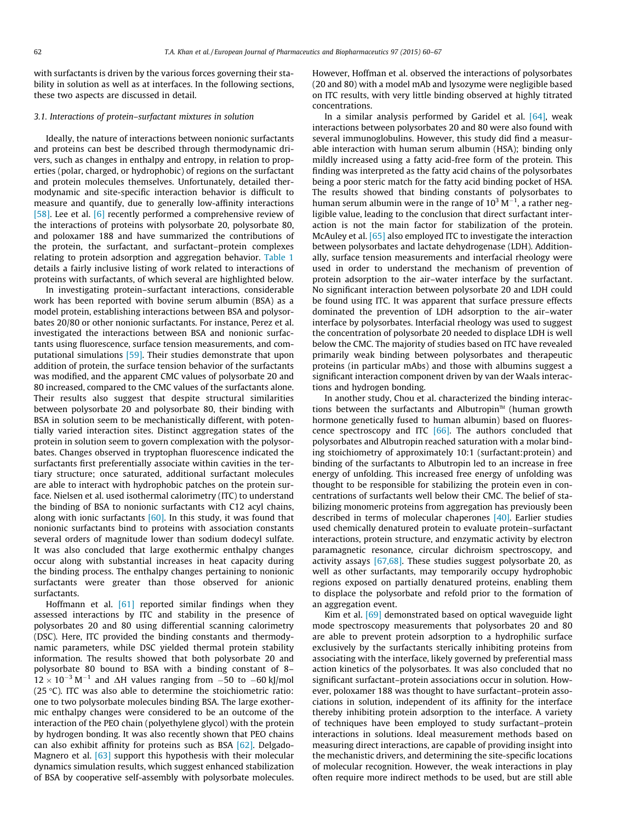with surfactants is driven by the various forces governing their stability in solution as well as at interfaces. In the following sections, these two aspects are discussed in detail.

#### 3.1. Interactions of protein–surfactant mixtures in solution

Ideally, the nature of interactions between nonionic surfactants and proteins can best be described through thermodynamic drivers, such as changes in enthalpy and entropy, in relation to properties (polar, charged, or hydrophobic) of regions on the surfactant and protein molecules themselves. Unfortunately, detailed thermodynamic and site-specific interaction behavior is difficult to measure and quantify, due to generally low-affinity interactions [\[58\]](#page-7-0). Lee et al. [\[6\]](#page-6-0) recently performed a comprehensive review of the interactions of proteins with polysorbate 20, polysorbate 80, and poloxamer 188 and have summarized the contributions of the protein, the surfactant, and surfactant–protein complexes relating to protein adsorption and aggregation behavior. [Table 1](#page-4-0) details a fairly inclusive listing of work related to interactions of proteins with surfactants, of which several are highlighted below.

In investigating protein–surfactant interactions, considerable work has been reported with bovine serum albumin (BSA) as a model protein, establishing interactions between BSA and polysorbates 20/80 or other nonionic surfactants. For instance, Perez et al. investigated the interactions between BSA and nonionic surfactants using fluorescence, surface tension measurements, and computational simulations [\[59\]](#page-7-0). Their studies demonstrate that upon addition of protein, the surface tension behavior of the surfactants was modified, and the apparent CMC values of polysorbate 20 and 80 increased, compared to the CMC values of the surfactants alone. Their results also suggest that despite structural similarities between polysorbate 20 and polysorbate 80, their binding with BSA in solution seem to be mechanistically different, with potentially varied interaction sites. Distinct aggregation states of the protein in solution seem to govern complexation with the polysorbates. Changes observed in tryptophan fluorescence indicated the surfactants first preferentially associate within cavities in the tertiary structure; once saturated, additional surfactant molecules are able to interact with hydrophobic patches on the protein surface. Nielsen et al. used isothermal calorimetry (ITC) to understand the binding of BSA to nonionic surfactants with C12 acyl chains, along with ionic surfactants  $[60]$ . In this study, it was found that nonionic surfactants bind to proteins with association constants several orders of magnitude lower than sodium dodecyl sulfate. It was also concluded that large exothermic enthalpy changes occur along with substantial increases in heat capacity during the binding process. The enthalpy changes pertaining to nonionic surfactants were greater than those observed for anionic surfactants.

Hoffmann et al. [\[61\]](#page-7-0) reported similar findings when they assessed interactions by ITC and stability in the presence of polysorbates 20 and 80 using differential scanning calorimetry (DSC). Here, ITC provided the binding constants and thermodynamic parameters, while DSC yielded thermal protein stability information. The results showed that both polysorbate 20 and polysorbate 80 bound to BSA with a binding constant of 8–  $12 \times 10^{-3}$  M<sup>-1</sup> and  $\Delta$ H values ranging from -50 to -60 kJ/mol (25 °C). ITC was also able to determine the stoichiometric ratio: one to two polysorbate molecules binding BSA. The large exothermic enthalpy changes were considered to be an outcome of the interaction of the PEO chain (polyethylene glycol) with the protein by hydrogen bonding. It was also recently shown that PEO chains can also exhibit affinity for proteins such as BSA [\[62\]](#page-7-0). Delgado-Magnero et al. [\[63\]](#page-7-0) support this hypothesis with their molecular dynamics simulation results, which suggest enhanced stabilization of BSA by cooperative self-assembly with polysorbate molecules.

However, Hoffman et al. observed the interactions of polysorbates (20 and 80) with a model mAb and lysozyme were negligible based on ITC results, with very little binding observed at highly titrated concentrations.

In a similar analysis performed by Garidel et al.  $[64]$ , weak interactions between polysorbates 20 and 80 were also found with several immunoglobulins. However, this study did find a measurable interaction with human serum albumin (HSA); binding only mildly increased using a fatty acid-free form of the protein. This finding was interpreted as the fatty acid chains of the polysorbates being a poor steric match for the fatty acid binding pocket of HSA. The results showed that binding constants of polysorbates to human serum albumin were in the range of  $10^3$  M<sup>-1</sup>, a rather negligible value, leading to the conclusion that direct surfactant interaction is not the main factor for stabilization of the protein. McAuley et al. [\[65\]](#page-7-0) also employed ITC to investigate the interaction between polysorbates and lactate dehydrogenase (LDH). Additionally, surface tension measurements and interfacial rheology were used in order to understand the mechanism of prevention of protein adsorption to the air–water interface by the surfactant. No significant interaction between polysorbate 20 and LDH could be found using ITC. It was apparent that surface pressure effects dominated the prevention of LDH adsorption to the air–water interface by polysorbates. Interfacial rheology was used to suggest the concentration of polysorbate 20 needed to displace LDH is well below the CMC. The majority of studies based on ITC have revealed primarily weak binding between polysorbates and therapeutic proteins (in particular mAbs) and those with albumins suggest a significant interaction component driven by van der Waals interactions and hydrogen bonding.

In another study, Chou et al. characterized the binding interactions between the surfactants and Albutropin<sup>M</sup> (human growth hormone genetically fused to human albumin) based on fluorescence spectroscopy and ITC  $[66]$ . The authors concluded that polysorbates and Albutropin reached saturation with a molar binding stoichiometry of approximately 10:1 (surfactant:protein) and binding of the surfactants to Albutropin led to an increase in free energy of unfolding. This increased free energy of unfolding was thought to be responsible for stabilizing the protein even in concentrations of surfactants well below their CMC. The belief of stabilizing monomeric proteins from aggregation has previously been described in terms of molecular chaperones [\[40\]](#page-7-0). Earlier studies used chemically denatured protein to evaluate protein–surfactant interactions, protein structure, and enzymatic activity by electron paramagnetic resonance, circular dichroism spectroscopy, and activity assays [\[67,68\]](#page-7-0). These studies suggest polysorbate 20, as well as other surfactants, may temporarily occupy hydrophobic regions exposed on partially denatured proteins, enabling them to displace the polysorbate and refold prior to the formation of an aggregation event.

Kim et al. [\[69\]](#page-7-0) demonstrated based on optical waveguide light mode spectroscopy measurements that polysorbates 20 and 80 are able to prevent protein adsorption to a hydrophilic surface exclusively by the surfactants sterically inhibiting proteins from associating with the interface, likely governed by preferential mass action kinetics of the polysorbates. It was also concluded that no significant surfactant–protein associations occur in solution. However, poloxamer 188 was thought to have surfactant–protein associations in solution, independent of its affinity for the interface thereby inhibiting protein adsorption to the interface. A variety of techniques have been employed to study surfactant–protein interactions in solutions. Ideal measurement methods based on measuring direct interactions, are capable of providing insight into the mechanistic drivers, and determining the site-specific locations of molecular recognition. However, the weak interactions in play often require more indirect methods to be used, but are still able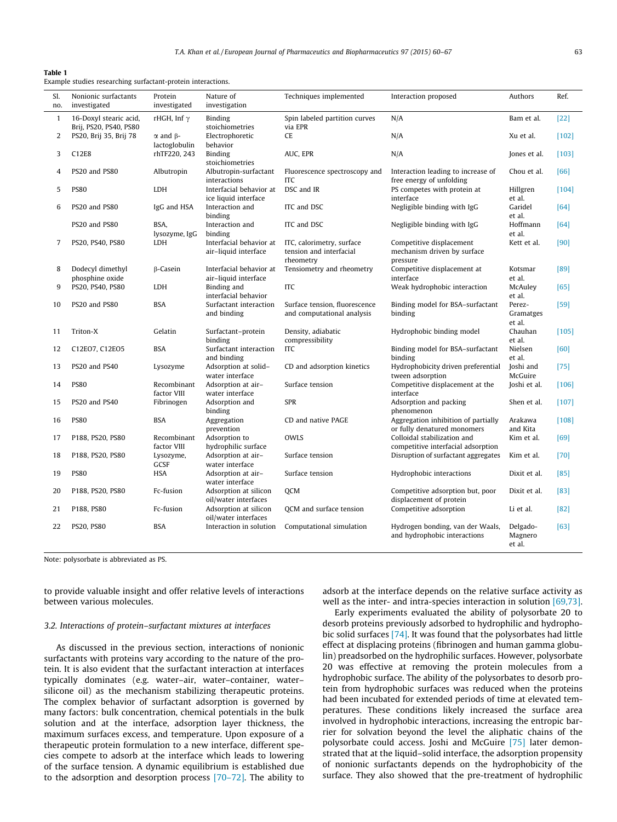## <span id="page-4-0"></span>Table 1

| Example studies researching surfactant-protein interactions. |  |  |
|--------------------------------------------------------------|--|--|
|                                                              |  |  |

| SI.            | Nonionic surfactants                             | Protein                       | Nature of                                       | Techniques implemented                                            | Interaction proposed                                                | Authors                       | Ref.    |
|----------------|--------------------------------------------------|-------------------------------|-------------------------------------------------|-------------------------------------------------------------------|---------------------------------------------------------------------|-------------------------------|---------|
| no.            | investigated                                     | investigated                  | investigation                                   |                                                                   |                                                                     |                               |         |
|                |                                                  |                               |                                                 |                                                                   |                                                                     |                               |         |
| $\mathbf{1}$   | 16-Doxyl stearic acid,<br>Brij, PS20, PS40, PS80 | rHGH, Inf $\gamma$            | Binding<br>stoichiometries                      | Spin labeled partition curves<br>via EPR                          | N/A                                                                 | Bam et al.                    | $[22]$  |
| 2              | PS20, Brij 35, Brij 78                           | $\alpha$ and $\beta$ -        | Electrophoretic                                 | CE                                                                | N/A                                                                 | Xu et al.                     | $[102]$ |
| 3              | C12E8                                            | lactoglobulin<br>rhTF220, 243 | behavior<br>Binding                             | AUC, EPR                                                          | N/A                                                                 | Jones et al.                  | $[103]$ |
| $\overline{4}$ | PS20 and PS80                                    | Albutropin                    | stoichiometries<br>Albutropin-surfactant        | Fluorescence spectroscopy and                                     | Interaction leading to increase of                                  | Chou et al.                   | [66]    |
|                |                                                  |                               | interactions                                    | <b>ITC</b>                                                        | free energy of unfolding                                            |                               |         |
| 5              | <b>PS80</b>                                      | <b>LDH</b>                    | Interfacial behavior at<br>ice liquid interface | DSC and IR                                                        | PS competes with protein at<br>interface                            | Hillgren<br>et al.            | [104]   |
| 6              | PS20 and PS80                                    | IgG and HSA                   | Interaction and<br>binding                      | ITC and DSC                                                       | Negligible binding with IgG                                         | Garidel<br>et al.             | [64]    |
|                | PS20 and PS80                                    | BSA,<br>lysozyme, IgG         | Interaction and<br>binding                      | ITC and DSC                                                       | Negligible binding with IgG                                         | Hoffmann<br>et al.            | [64]    |
| 7              | PS20, PS40, PS80                                 | <b>LDH</b>                    | Interfacial behavior at<br>air-liquid interface | ITC, calorimetry, surface<br>tension and interfacial<br>rheometry | Competitive displacement<br>mechanism driven by surface<br>pressure | Kett et al.                   | [90]    |
| 8              | Dodecyl dimethyl                                 | $\beta$ -Casein               | Interfacial behavior at                         | Tensiometry and rheometry                                         | Competitive displacement at                                         | Kotsmar                       | [89]    |
|                | phosphine oxide                                  |                               | air-liquid interface                            |                                                                   | interface                                                           | et al.                        |         |
| 9              | PS20, PS40, PS80                                 | LDH                           | Binding and<br>interfacial behavior             | ITC                                                               | Weak hydrophobic interaction                                        | McAuley<br>et al.             | [65]    |
| 10             | PS20 and PS80                                    | <b>BSA</b>                    | Surfactant interaction<br>and binding           | Surface tension, fluorescence<br>and computational analysis       | Binding model for BSA-surfactant<br>binding                         | Perez-<br>Gramatges<br>et al. | $[59]$  |
| 11             | Triton-X                                         | Gelatin                       | Surfactant-protein<br>binding                   | Density, adiabatic<br>compressibility                             | Hydrophobic binding model                                           | Chauhan<br>et al.             | [105]   |
| 12             | C12E07, C12E05                                   | <b>BSA</b>                    | Surfactant interaction<br>and binding           | ITC                                                               | Binding model for BSA-surfactant<br>binding                         | Nielsen<br>et al.             | [60]    |
| 13             | PS20 and PS40                                    | Lysozyme                      | Adsorption at solid-<br>water interface         | CD and adsorption kinetics                                        | Hydrophobicity driven preferential                                  | Joshi and<br>McGuire          | $[75]$  |
| 14             | <b>PS80</b>                                      | Recombinant                   | Adsorption at air-                              | Surface tension                                                   | tween adsorption<br>Competitive displacement at the                 | Joshi et al.                  | $[106]$ |
| 15             | PS20 and PS40                                    | factor VIII<br>Fibrinogen     | water interface<br>Adsorption and               | <b>SPR</b>                                                        | interface<br>Adsorption and packing                                 | Shen et al.                   | $[107]$ |
|                |                                                  |                               | binding                                         |                                                                   | phenomenon                                                          |                               |         |
| 16             | <b>PS80</b>                                      | <b>BSA</b>                    | Aggregation<br>prevention                       | CD and native PAGE                                                | Aggregation inhibition of partially<br>or fully denatured monomers  | Arakawa<br>and Kita           | $[108]$ |
| 17             | P188, PS20, PS80                                 | Recombinant<br>factor VIII    | Adsorption to<br>hydrophilic surface            | <b>OWLS</b>                                                       | Colloidal stabilization and<br>competitive interfacial adsorption   | Kim et al.                    | [69]    |
| 18             | P188, PS20, PS80                                 | Lysozyme,<br>GCSF             | Adsorption at air-<br>water interface           | Surface tension                                                   | Disruption of surfactant aggregates                                 | Kim et al.                    | $[70]$  |
| 19             | <b>PS80</b>                                      | <b>HSA</b>                    | Adsorption at air-<br>water interface           | Surface tension                                                   | Hydrophobic interactions                                            | Dixit et al.                  | $[85]$  |
| 20             | P188, PS20, PS80                                 | Fc-fusion                     | Adsorption at silicon<br>oil/water interfaces   | <b>QCM</b>                                                        | Competitive adsorption but, poor<br>displacement of protein         | Dixit et al.                  | $[83]$  |
| 21             | P188, PS80                                       | Fc-fusion                     | Adsorption at silicon<br>oil/water interfaces   | OCM and surface tension                                           | Competitive adsorption                                              | Li et al.                     | $[82]$  |
| 22             | <b>PS20, PS80</b>                                | <b>BSA</b>                    | Interaction in solution                         | Computational simulation                                          | Hydrogen bonding, van der Waals,<br>and hydrophobic interactions    | Delgado-<br>Magnero<br>et al. | [63]    |

Note: polysorbate is abbreviated as PS.

to provide valuable insight and offer relative levels of interactions between various molecules.

#### 3.2. Interactions of protein–surfactant mixtures at interfaces

As discussed in the previous section, interactions of nonionic surfactants with proteins vary according to the nature of the protein. It is also evident that the surfactant interaction at interfaces typically dominates (e.g. water–air, water–container, water– silicone oil) as the mechanism stabilizing therapeutic proteins. The complex behavior of surfactant adsorption is governed by many factors: bulk concentration, chemical potentials in the bulk solution and at the interface, adsorption layer thickness, the maximum surfaces excess, and temperature. Upon exposure of a therapeutic protein formulation to a new interface, different species compete to adsorb at the interface which leads to lowering of the surface tension. A dynamic equilibrium is established due to the adsorption and desorption process [\[70–72\].](#page-7-0) The ability to adsorb at the interface depends on the relative surface activity as well as the inter- and intra-species interaction in solution [\[69,73\].](#page-7-0)

Early experiments evaluated the ability of polysorbate 20 to desorb proteins previously adsorbed to hydrophilic and hydrophobic solid surfaces [\[74\]](#page-7-0). It was found that the polysorbates had little effect at displacing proteins (fibrinogen and human gamma globulin) preadsorbed on the hydrophilic surfaces. However, polysorbate 20 was effective at removing the protein molecules from a hydrophobic surface. The ability of the polysorbates to desorb protein from hydrophobic surfaces was reduced when the proteins had been incubated for extended periods of time at elevated temperatures. These conditions likely increased the surface area involved in hydrophobic interactions, increasing the entropic barrier for solvation beyond the level the aliphatic chains of the polysorbate could access. Joshi and McGuire [\[75\]](#page-7-0) later demonstrated that at the liquid–solid interface, the adsorption propensity of nonionic surfactants depends on the hydrophobicity of the surface. They also showed that the pre-treatment of hydrophilic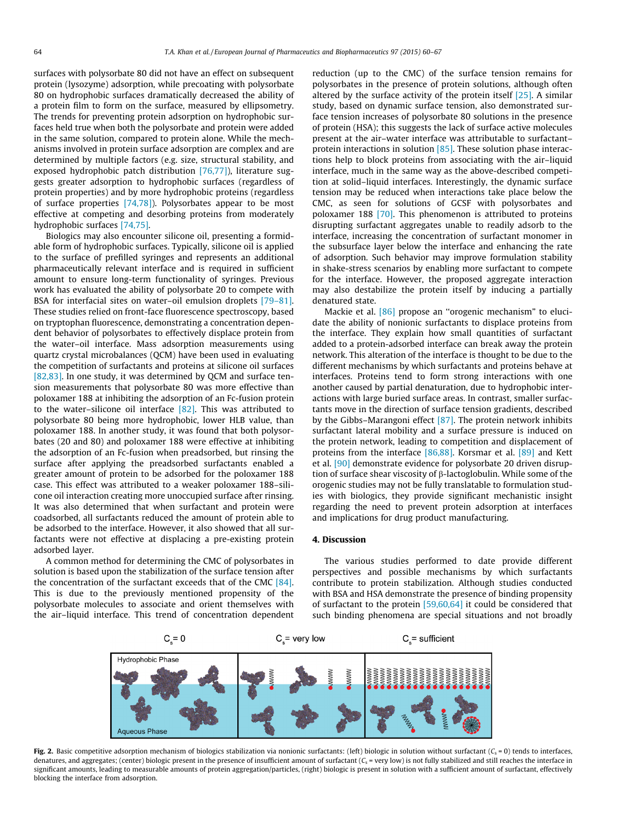<span id="page-5-0"></span>surfaces with polysorbate 80 did not have an effect on subsequent protein (lysozyme) adsorption, while precoating with polysorbate 80 on hydrophobic surfaces dramatically decreased the ability of a protein film to form on the surface, measured by ellipsometry. The trends for preventing protein adsorption on hydrophobic surfaces held true when both the polysorbate and protein were added in the same solution, compared to protein alone. While the mechanisms involved in protein surface adsorption are complex and are determined by multiple factors (e.g. size, structural stability, and exposed hydrophobic patch distribution [\[76,77\]](#page-7-0)), literature suggests greater adsorption to hydrophobic surfaces (regardless of protein properties) and by more hydrophobic proteins (regardless of surface properties [\[74,78\]\)](#page-7-0). Polysorbates appear to be most effective at competing and desorbing proteins from moderately hydrophobic surfaces [\[74,75\]](#page-7-0).

Biologics may also encounter silicone oil, presenting a formidable form of hydrophobic surfaces. Typically, silicone oil is applied to the surface of prefilled syringes and represents an additional pharmaceutically relevant interface and is required in sufficient amount to ensure long-term functionality of syringes. Previous work has evaluated the ability of polysorbate 20 to compete with BSA for interfacial sites on water–oil emulsion droplets [\[79–81\].](#page-7-0) These studies relied on front-face fluorescence spectroscopy, based on tryptophan fluorescence, demonstrating a concentration dependent behavior of polysorbates to effectively displace protein from the water–oil interface. Mass adsorption measurements using quartz crystal microbalances (QCM) have been used in evaluating the competition of surfactants and proteins at silicone oil surfaces [\[82,83\].](#page-7-0) In one study, it was determined by QCM and surface tension measurements that polysorbate 80 was more effective than poloxamer 188 at inhibiting the adsorption of an Fc-fusion protein to the water–silicone oil interface [\[82\]](#page-7-0). This was attributed to polysorbate 80 being more hydrophobic, lower HLB value, than poloxamer 188. In another study, it was found that both polysorbates (20 and 80) and poloxamer 188 were effective at inhibiting the adsorption of an Fc-fusion when preadsorbed, but rinsing the surface after applying the preadsorbed surfactants enabled a greater amount of protein to be adsorbed for the poloxamer 188 case. This effect was attributed to a weaker poloxamer 188–silicone oil interaction creating more unoccupied surface after rinsing. It was also determined that when surfactant and protein were coadsorbed, all surfactants reduced the amount of protein able to be adsorbed to the interface. However, it also showed that all surfactants were not effective at displacing a pre-existing protein adsorbed layer.

A common method for determining the CMC of polysorbates in solution is based upon the stabilization of the surface tension after the concentration of the surfactant exceeds that of the CMC [\[84\].](#page-7-0) This is due to the previously mentioned propensity of the polysorbate molecules to associate and orient themselves with the air–liquid interface. This trend of concentration dependent reduction (up to the CMC) of the surface tension remains for polysorbates in the presence of protein solutions, although often altered by the surface activity of the protein itself [\[25\]](#page-6-0). A similar study, based on dynamic surface tension, also demonstrated surface tension increases of polysorbate 80 solutions in the presence of protein (HSA); this suggests the lack of surface active molecules present at the air–water interface was attributable to surfactant– protein interactions in solution [\[85\]](#page-7-0). These solution phase interactions help to block proteins from associating with the air–liquid interface, much in the same way as the above-described competition at solid–liquid interfaces. Interestingly, the dynamic surface tension may be reduced when interactions take place below the CMC, as seen for solutions of GCSF with polysorbates and poloxamer 188 [\[70\]](#page-7-0). This phenomenon is attributed to proteins disrupting surfactant aggregates unable to readily adsorb to the interface, increasing the concentration of surfactant monomer in the subsurface layer below the interface and enhancing the rate of adsorption. Such behavior may improve formulation stability in shake-stress scenarios by enabling more surfactant to compete for the interface. However, the proposed aggregate interaction may also destabilize the protein itself by inducing a partially denatured state.

Mackie et al. [\[86\]](#page-7-0) propose an "orogenic mechanism" to elucidate the ability of nonionic surfactants to displace proteins from the interface. They explain how small quantities of surfactant added to a protein-adsorbed interface can break away the protein network. This alteration of the interface is thought to be due to the different mechanisms by which surfactants and proteins behave at interfaces. Proteins tend to form strong interactions with one another caused by partial denaturation, due to hydrophobic interactions with large buried surface areas. In contrast, smaller surfactants move in the direction of surface tension gradients, described by the Gibbs–Marangoni effect  $[87]$ . The protein network inhibits surfactant lateral mobility and a surface pressure is induced on the protein network, leading to competition and displacement of proteins from the interface [\[86,88\]](#page-7-0). Korsmar et al. [\[89\]](#page-8-0) and Kett et al. [\[90\]](#page-8-0) demonstrate evidence for polysorbate 20 driven disruption of surface shear viscosity of b-lactoglobulin. While some of the orogenic studies may not be fully translatable to formulation studies with biologics, they provide significant mechanistic insight regarding the need to prevent protein adsorption at interfaces and implications for drug product manufacturing.

## 4. Discussion

The various studies performed to date provide different perspectives and possible mechanisms by which surfactants contribute to protein stabilization. Although studies conducted with BSA and HSA demonstrate the presence of binding propensity of surfactant to the protein [\[59,60,64\]](#page-7-0) it could be considered that such binding phenomena are special situations and not broadly



Fig. 2. Basic competitive adsorption mechanism of biologics stabilization via nonionic surfactants: (left) biologic in solution without surfactant  $(C_s = 0)$  tends to interfaces, denatures, and aggregates; (center) biologic present in the presence of insufficient amount of surfactant ( $C_s$  = very low) is not fully stabilized and still reaches the interface in significant amounts, leading to measurable amounts of protein aggregation/particles, (right) biologic is present in solution with a sufficient amount of surfactant, effectively blocking the interface from adsorption.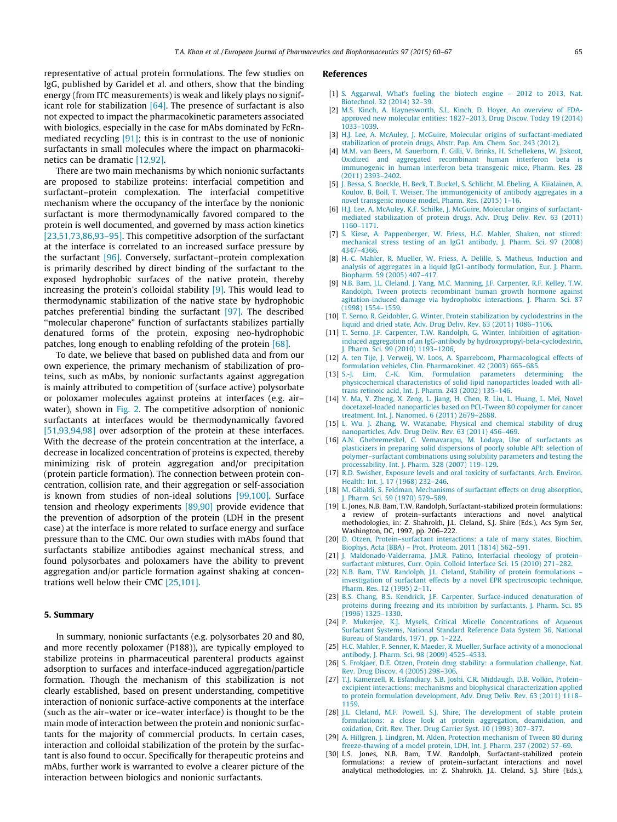<span id="page-6-0"></span>representative of actual protein formulations. The few studies on IgG, published by Garidel et al. and others, show that the binding energy (from ITC measurements) is weak and likely plays no significant role for stabilization  $[64]$ . The presence of surfactant is also not expected to impact the pharmacokinetic parameters associated with biologics, especially in the case for mAbs dominated by FcRnmediated recycling [\[91\];](#page-8-0) this is in contrast to the use of nonionic surfactants in small molecules where the impact on pharmacokinetics can be dramatic [12,92].

There are two main mechanisms by which nonionic surfactants are proposed to stabilize proteins: interfacial competition and surfactant–protein complexation. The interfacial competitive mechanism where the occupancy of the interface by the nonionic surfactant is more thermodynamically favored compared to the protein is well documented, and governed by mass action kinetics [23,51,73,86,93–95]. This competitive adsorption of the surfactant at the interface is correlated to an increased surface pressure by the surfactant [\[96\].](#page-8-0) Conversely, surfactant–protein complexation is primarily described by direct binding of the surfactant to the exposed hydrophobic surfaces of the native protein, thereby increasing the protein's colloidal stability [9]. This would lead to thermodynamic stabilization of the native state by hydrophobic patches preferential binding the surfactant [\[97\].](#page-8-0) The described ''molecular chaperone" function of surfactants stabilizes partially denatured forms of the protein, exposing neo-hydrophobic patches, long enough to enabling refolding of the protein [\[68\]](#page-7-0).

To date, we believe that based on published data and from our own experience, the primary mechanism of stabilization of proteins, such as mAbs, by nonionic surfactants against aggregation is mainly attributed to competition of (surface active) polysorbate or poloxamer molecules against proteins at interfaces (e.g. air– water), shown in [Fig. 2](#page-5-0). The competitive adsorption of nonionic surfactants at interfaces would be thermodynamically favored [\[51,93,94,98\]](#page-7-0) over adsorption of the protein at these interfaces. With the decrease of the protein concentration at the interface, a decrease in localized concentration of proteins is expected, thereby minimizing risk of protein aggregation and/or precipitation (protein particle formation). The connection between protein concentration, collision rate, and their aggregation or self-association is known from studies of non-ideal solutions [\[99,100\].](#page-8-0) Surface tension and rheology experiments [\[89,90\]](#page-8-0) provide evidence that the prevention of adsorption of the protein (LDH in the present case) at the interface is more related to surface energy and surface pressure than to the CMC. Our own studies with mAbs found that surfactants stabilize antibodies against mechanical stress, and found polysorbates and poloxamers have the ability to prevent aggregation and/or particle formation against shaking at concentrations well below their CMC [25,101].

#### 5. Summary

In summary, nonionic surfactants (e.g. polysorbates 20 and 80, and more recently poloxamer (P188)), are typically employed to stabilize proteins in pharmaceutical parenteral products against adsorption to surfaces and interface-induced aggregation/particle formation. Though the mechanism of this stabilization is not clearly established, based on present understanding, competitive interaction of nonionic surface-active components at the interface (such as the air–water or ice–water interface) is thought to be the main mode of interaction between the protein and nonionic surfactants for the majority of commercial products. In certain cases, interaction and colloidal stabilization of the protein by the surfactant is also found to occur. Specifically for therapeutic proteins and mAbs, further work is warranted to evolve a clearer picture of the interaction between biologics and nonionic surfactants.

#### References

- [1] S. Aggarwal, What's fueling the biotech engine 2012 to 2013, Nat. [Biotechnol. 32 \(2014\) 32–39.](http://refhub.elsevier.com/S0939-6411(15)00396-3/h0005)
- [2] [M.S. Kinch, A. Haynesworth, S.L. Kinch, D. Hoyer, An overview of FDA](http://refhub.elsevier.com/S0939-6411(15)00396-3/h0010)[approved new molecular entities: 1827–2013, Drug Discov. Today 19 \(2014\)](http://refhub.elsevier.com/S0939-6411(15)00396-3/h0010) [1033–1039.](http://refhub.elsevier.com/S0939-6411(15)00396-3/h0010)
- [3] [H.J. Lee, A. McAuley, J. McGuire, Molecular origins of surfactant-mediated](http://refhub.elsevier.com/S0939-6411(15)00396-3/h0015) [stabilization of protein drugs, Abstr. Pap. Am. Chem. Soc. 243 \(2012\).](http://refhub.elsevier.com/S0939-6411(15)00396-3/h0015)
- [4] [M.M. van Beers, M. Sauerborn, F. Gilli, V. Brinks, H. Schellekens, W. Jiskoot,](http://refhub.elsevier.com/S0939-6411(15)00396-3/h0020) [Oxidized and aggregated recombinant human interferon beta is](http://refhub.elsevier.com/S0939-6411(15)00396-3/h0020) [immunogenic in human interferon beta transgenic mice, Pharm. Res. 28](http://refhub.elsevier.com/S0939-6411(15)00396-3/h0020) [\(2011\) 2393–2402](http://refhub.elsevier.com/S0939-6411(15)00396-3/h0020).
- [5] [J. Bessa, S. Boeckle, H. Beck, T. Buckel, S. Schlicht, M. Ebeling, A. Kiialainen, A.](http://refhub.elsevier.com/S0939-6411(15)00396-3/h0025) [Koulov, B. Boll, T. Weiser, The immunogenicity of antibody aggregates in a](http://refhub.elsevier.com/S0939-6411(15)00396-3/h0025) [novel transgenic mouse model, Pharm. Res. \(2015\) 1–16.](http://refhub.elsevier.com/S0939-6411(15)00396-3/h0025)
- [6] [H.J. Lee, A. McAuley, K.F. Schilke, J. McGuire, Molecular origins of surfactant](http://refhub.elsevier.com/S0939-6411(15)00396-3/h0030)[mediated stabilization of protein drugs, Adv. Drug Deliv. Rev. 63 \(2011\)](http://refhub.elsevier.com/S0939-6411(15)00396-3/h0030) [1160–1171.](http://refhub.elsevier.com/S0939-6411(15)00396-3/h0030)
- [7] [S. Kiese, A. Pappenberger, W. Friess, H.C. Mahler, Shaken, not stirred:](http://refhub.elsevier.com/S0939-6411(15)00396-3/h0035) [mechanical stress testing of an IgG1 antibody, J. Pharm. Sci. 97 \(2008\)](http://refhub.elsevier.com/S0939-6411(15)00396-3/h0035) [4347–4366](http://refhub.elsevier.com/S0939-6411(15)00396-3/h0035).
- [8] [H.-C. Mahler, R. Mueller, W. Friess, A. Delille, S. Matheus, Induction and](http://refhub.elsevier.com/S0939-6411(15)00396-3/h0040) [analysis of aggregates in a liquid IgG1-antibody formulation, Eur. J. Pharm.](http://refhub.elsevier.com/S0939-6411(15)00396-3/h0040) [Biopharm. 59 \(2005\) 407–417](http://refhub.elsevier.com/S0939-6411(15)00396-3/h0040).
- [9] [N.B. Bam, J.L. Cleland, J. Yang, M.C. Manning, J.F. Carpenter, R.F. Kelley, T.W.](http://refhub.elsevier.com/S0939-6411(15)00396-3/h0045) [Randolph, Tween protects recombinant human growth hormone against](http://refhub.elsevier.com/S0939-6411(15)00396-3/h0045) [agitation-induced damage via hydrophobic interactions, J. Pharm. Sci. 87](http://refhub.elsevier.com/S0939-6411(15)00396-3/h0045) [\(1998\) 1554–1559](http://refhub.elsevier.com/S0939-6411(15)00396-3/h0045).
- [10] [T. Serno, R. Geidobler, G. Winter, Protein stabilization by cyclodextrins in the](http://refhub.elsevier.com/S0939-6411(15)00396-3/h0050) [liquid and dried state, Adv. Drug Deliv. Rev. 63 \(2011\) 1086–1106](http://refhub.elsevier.com/S0939-6411(15)00396-3/h0050).
- [11] [T. Serno, J.F. Carpenter, T.W. Randolph, G. Winter, Inhibition of agitation](http://refhub.elsevier.com/S0939-6411(15)00396-3/h0055)[induced aggregation of an IgG-antibody by hydroxypropyl-beta-cyclodextrin,](http://refhub.elsevier.com/S0939-6411(15)00396-3/h0055) [J. Pharm. Sci. 99 \(2010\) 1193–1206.](http://refhub.elsevier.com/S0939-6411(15)00396-3/h0055)
- [12] [A. ten Tije, J. Verweij, W. Loos, A. Sparreboom, Pharmacological effects of](http://refhub.elsevier.com/S0939-6411(15)00396-3/h0060) [formulation vehicles, Clin. Pharmacokinet. 42 \(2003\) 665–685.](http://refhub.elsevier.com/S0939-6411(15)00396-3/h0060)
- [13] [S.-J. Lim, C.-K. Kim, Formulation parameters determining the](http://refhub.elsevier.com/S0939-6411(15)00396-3/h0065) [physicochemical characteristics of solid lipid nanoparticles loaded with all](http://refhub.elsevier.com/S0939-6411(15)00396-3/h0065)[trans retinoic acid, Int. J. Pharm. 243 \(2002\) 135–146](http://refhub.elsevier.com/S0939-6411(15)00396-3/h0065).
- [14] [Y. Ma, Y. Zheng, X. Zeng, L. Jiang, H. Chen, R. Liu, L. Huang, L. Mei, Novel](http://refhub.elsevier.com/S0939-6411(15)00396-3/h0070) [docetaxel-loaded nanoparticles based on PCL-Tween 80 copolymer for cancer](http://refhub.elsevier.com/S0939-6411(15)00396-3/h0070) [treatment, Int. J. Nanomed. 6 \(2011\) 2679–2688](http://refhub.elsevier.com/S0939-6411(15)00396-3/h0070).
- [15] [L. Wu, J. Zhang, W. Watanabe, Physical and chemical stability of drug](http://refhub.elsevier.com/S0939-6411(15)00396-3/h0075) [nanoparticles, Adv. Drug Deliv. Rev. 63 \(2011\) 456–469.](http://refhub.elsevier.com/S0939-6411(15)00396-3/h0075)
- [16] [A.N. Ghebremeskel, C. Vemavarapu, M. Lodaya, Use of surfactants as](http://refhub.elsevier.com/S0939-6411(15)00396-3/h0080) [plasticizers in preparing solid dispersions of poorly soluble API: selection of](http://refhub.elsevier.com/S0939-6411(15)00396-3/h0080) [polymer–surfactant combinations using solubility parameters and testing the](http://refhub.elsevier.com/S0939-6411(15)00396-3/h0080) [processability, Int. J. Pharm. 328 \(2007\) 119–129.](http://refhub.elsevier.com/S0939-6411(15)00396-3/h0080)
- [17] [R.D. Swisher, Exposure levels and oral toxicity of surfactants, Arch. Environ.](http://refhub.elsevier.com/S0939-6411(15)00396-3/h0085) [Health: Int. J. 17 \(1968\) 232–246](http://refhub.elsevier.com/S0939-6411(15)00396-3/h0085).
- [18] [M. Gibaldi, S. Feldman, Mechanisms of surfactant effects on drug absorption,](http://refhub.elsevier.com/S0939-6411(15)00396-3/h0090) Pharm. Sci. 59 (1970) 579-589.
- [19] L. Jones, N.B. Bam, T.W. Randolph, Surfactant-stabilized protein formulations: a review of protein–surfactants interactions and novel analytical methodologies, in: Z. Shahrokh, J.L. Cleland, S.J. Shire (Eds.), Acs Sym Ser, Washington, DC, 1997, pp. 206–222.
- [20] [D. Otzen, Protein–surfactant interactions: a tale of many states, Biochim.](http://refhub.elsevier.com/S0939-6411(15)00396-3/h0100) [Biophys. Acta \(BBA\) – Prot. Proteom. 2011 \(1814\) 562–591](http://refhub.elsevier.com/S0939-6411(15)00396-3/h0100).
- [21] [J. Maldonado-Valderrama, J.M.R. Patino, Interfacial rheology of protein–](http://refhub.elsevier.com/S0939-6411(15)00396-3/h0105) surfactant mixtures, Curr. Opin. Colloid Interface Sci. 15 (2010) 271
- [22] [N.B. Bam, T.W. Randolph, J.L. Cleland, Stability of protein formulations –](http://refhub.elsevier.com/S0939-6411(15)00396-3/h0110) [investigation of surfactant effects by a novel EPR spectroscopic technique,](http://refhub.elsevier.com/S0939-6411(15)00396-3/h0110) [Pharm. Res. 12 \(1995\) 2–11](http://refhub.elsevier.com/S0939-6411(15)00396-3/h0110).
- [23] [B.S. Chang, B.S. Kendrick, J.F. Carpenter, Surface-induced denaturation of](http://refhub.elsevier.com/S0939-6411(15)00396-3/h0115) [proteins during freezing and its inhibition by surfactants, J. Pharm. Sci. 85](http://refhub.elsevier.com/S0939-6411(15)00396-3/h0115) [\(1996\) 1325–1330.](http://refhub.elsevier.com/S0939-6411(15)00396-3/h0115)
- [24] [P. Mukerjee, K.J. Mysels, Critical Micelle Concentrations of Aqueous](http://refhub.elsevier.com/S0939-6411(15)00396-3/h0120) [Surfactant Systems, National Standard Reference Data System 36, National](http://refhub.elsevier.com/S0939-6411(15)00396-3/h0120) [Bureau of Standards, 1971. pp. 1–222.](http://refhub.elsevier.com/S0939-6411(15)00396-3/h0120)
- [25] [H.C. Mahler, F. Senner, K. Maeder, R. Mueller, Surface activity of a monoclonal](http://refhub.elsevier.com/S0939-6411(15)00396-3/h0125) [antibody, J. Pharm. Sci. 98 \(2009\) 4525–4533](http://refhub.elsevier.com/S0939-6411(15)00396-3/h0125).
- [26] [S. Frokjaer, D.E. Otzen, Protein drug stability: a formulation challenge, Nat.](http://refhub.elsevier.com/S0939-6411(15)00396-3/h0130) [Rev. Drug Discov. 4 \(2005\) 298–306](http://refhub.elsevier.com/S0939-6411(15)00396-3/h0130).
- [27] [T.J. Kamerzell, R. Esfandiary, S.B. Joshi, C.R. Middaugh, D.B. Volkin, Protein–](http://refhub.elsevier.com/S0939-6411(15)00396-3/h0135) [excipient interactions: mechanisms and biophysical characterization applied](http://refhub.elsevier.com/S0939-6411(15)00396-3/h0135) [to protein formulation development, Adv. Drug Deliv. Rev. 63 \(2011\) 1118–](http://refhub.elsevier.com/S0939-6411(15)00396-3/h0135) [1159.](http://refhub.elsevier.com/S0939-6411(15)00396-3/h0135)
- [28] [J.L. Cleland, M.F. Powell, S.J. Shire, The development of stable protein](http://refhub.elsevier.com/S0939-6411(15)00396-3/h0140) [formulations: a close look at protein aggregation, deamidation, and](http://refhub.elsevier.com/S0939-6411(15)00396-3/h0140) [oxidation, Crit. Rev. Ther. Drug Carrier Syst. 10 \(1993\) 307–377.](http://refhub.elsevier.com/S0939-6411(15)00396-3/h0140)
- [29] [A. Hillgren, J. Lindgren, M. Alden, Protection mechanism of Tween 80 during](http://refhub.elsevier.com/S0939-6411(15)00396-3/h0145) [freeze-thawing of a model protein, LDH, Int. J. Pharm. 237 \(2002\) 57–69](http://refhub.elsevier.com/S0939-6411(15)00396-3/h0145). [30] L.S. Jones, N.B. Bam, T.W. Randolph, Surfactant-stabilized protein
- formulations: a review of protein–surfactant interactions and novel analytical methodologies, in: Z. Shahrokh, J.L. Cleland, S.J. Shire (Eds.),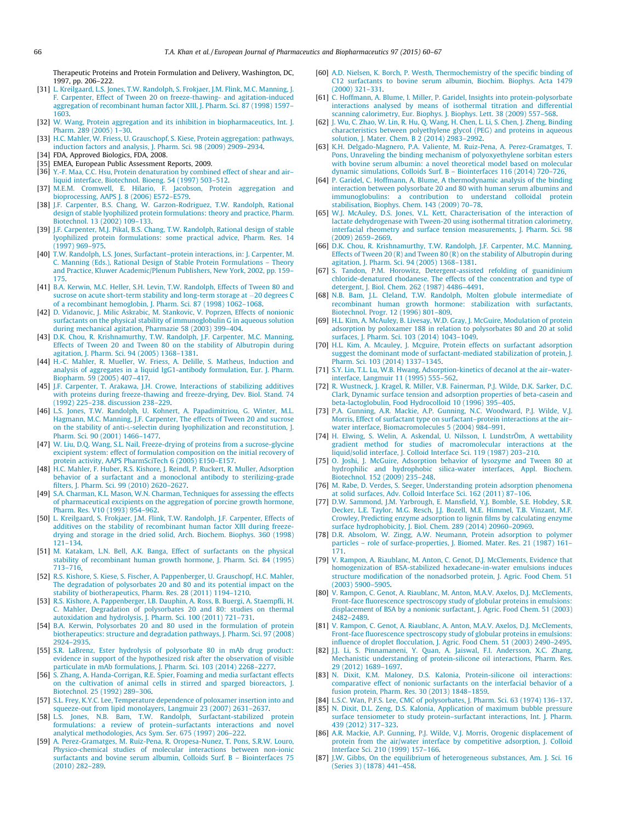<span id="page-7-0"></span>Therapeutic Proteins and Protein Formulation and Delivery, Washington, DC, 1997, pp. 206–222.

- [31] [L. Kreilgaard, L.S. Jones, T.W. Randolph, S. Frokjaer, J.M. Flink, M.C. Manning, J.](http://refhub.elsevier.com/S0939-6411(15)00396-3/h0155) [F. Carpenter, Effect of Tween 20 on freeze-thawing- and agitation-induced](http://refhub.elsevier.com/S0939-6411(15)00396-3/h0155) [aggregation of recombinant human factor XIII, J. Pharm. Sci. 87 \(1998\) 1597–](http://refhub.elsevier.com/S0939-6411(15)00396-3/h0155) [1603.](http://refhub.elsevier.com/S0939-6411(15)00396-3/h0155)
- [32] [W. Wang, Protein aggregation and its inhibition in biopharmaceutics, Int. J.](http://refhub.elsevier.com/S0939-6411(15)00396-3/h0160) [Pharm. 289 \(2005\) 1–30.](http://refhub.elsevier.com/S0939-6411(15)00396-3/h0160)
- [33] [H.C. Mahler, W. Friess, U. Grauschopf, S. Kiese, Protein aggregation: pathways,](http://refhub.elsevier.com/S0939-6411(15)00396-3/h0165) [induction factors and analysis, J. Pharm. Sci. 98 \(2009\) 2909–2934.](http://refhub.elsevier.com/S0939-6411(15)00396-3/h0165)
- [34] FDA, Approved Biologics, FDA, 2008.
- [35] EMEA, European Public Assessment Reports, 2009.
- [36] [Y.-F. Maa, C.C. Hsu, Protein denaturation by combined effect of shear and air–](http://refhub.elsevier.com/S0939-6411(15)00396-3/h0180) [liquid interface, Biotechnol. Bioeng. 54 \(1997\) 503–512](http://refhub.elsevier.com/S0939-6411(15)00396-3/h0180).
- [37] [M.E.M. Cromwell, E. Hilario, F. Jacobson, Protein aggregation and](http://refhub.elsevier.com/S0939-6411(15)00396-3/h0185) [bioprocessing, AAPS J. 8 \(2006\) E572–E579](http://refhub.elsevier.com/S0939-6411(15)00396-3/h0185).
- [38] [J.F. Carpenter, B.S. Chang, W. Garzon-Rodriguez, T.W. Randolph, Rational](http://refhub.elsevier.com/S0939-6411(15)00396-3/h0190) [design of stable lyophilized protein formulations: theory and practice, Pharm.](http://refhub.elsevier.com/S0939-6411(15)00396-3/h0190) [Biotechnol. 13 \(2002\) 109–133.](http://refhub.elsevier.com/S0939-6411(15)00396-3/h0190)
- [39] [J.F. Carpenter, M.J. Pikal, B.S. Chang, T.W. Randolph, Rational design of stable](http://refhub.elsevier.com/S0939-6411(15)00396-3/h0195) [lyophilized protein formulations: some practical advice, Pharm. Res. 14](http://refhub.elsevier.com/S0939-6411(15)00396-3/h0195) [\(1997\) 969–975](http://refhub.elsevier.com/S0939-6411(15)00396-3/h0195).
- [40] [T.W. Randolph, L.S. Jones, Surfactant–protein interactions, in: J. Carpenter, M.](http://refhub.elsevier.com/S0939-6411(15)00396-3/h0200) [C. Manning \(Eds.\), Rational Design of Stable Protein Formulations – Theory](http://refhub.elsevier.com/S0939-6411(15)00396-3/h0200) [and Practice, Kluwer Academic/Plenum Publishers, New York, 2002, pp. 159–](http://refhub.elsevier.com/S0939-6411(15)00396-3/h0200)
- [175.](http://refhub.elsevier.com/S0939-6411(15)00396-3/h0200) [41] [B.A. Kerwin, M.C. Heller, S.H. Levin, T.W. Randolph, Effects of Tween 80 and](http://refhub.elsevier.com/S0939-6411(15)00396-3/h0205) [sucrose on acute short-term stability and long-term storage at](http://refhub.elsevier.com/S0939-6411(15)00396-3/h0205) -[20 degrees C](http://refhub.elsevier.com/S0939-6411(15)00396-3/h0205) [of a recombinant hemoglobin, J. Pharm. Sci. 87 \(1998\) 1062–1068.](http://refhub.elsevier.com/S0939-6411(15)00396-3/h0205)
- [42] [D. Vidanovic, J. Milic Askrabic, M. Stankovic, V. Poprzen, Effects of nonionic](http://refhub.elsevier.com/S0939-6411(15)00396-3/h0210) [surfactants on the physical stability of immunoglobulin G in aqueous solution](http://refhub.elsevier.com/S0939-6411(15)00396-3/h0210) [during mechanical agitation, Pharmazie 58 \(2003\) 399–404](http://refhub.elsevier.com/S0939-6411(15)00396-3/h0210).
- [43] [D.K. Chou, R. Krishnamurthy, T.W. Randolph, J.F. Carpenter, M.C. Manning,](http://refhub.elsevier.com/S0939-6411(15)00396-3/h0215) [Effects of Tween 20 and Tween 80 on the stability of Albutropin during](http://refhub.elsevier.com/S0939-6411(15)00396-3/h0215) [agitation, J. Pharm. Sci. 94 \(2005\) 1368–1381.](http://refhub.elsevier.com/S0939-6411(15)00396-3/h0215)
- [44] [H.-C. Mahler, R. Mueller, W. Friess, A. Delille, S. Matheus, Induction and](http://refhub.elsevier.com/S0939-6411(15)00396-3/h0220) [analysis of aggregates in a liquid IgG1-antibody formulation, Eur. J. Pharm.](http://refhub.elsevier.com/S0939-6411(15)00396-3/h0220) [Biopharm. 59 \(2005\) 407–417](http://refhub.elsevier.com/S0939-6411(15)00396-3/h0220).
- [45] [J.F. Carpenter, T. Arakawa, J.H. Crowe, Interactions of stabilizing additives](http://refhub.elsevier.com/S0939-6411(15)00396-3/h0225) [with proteins during freeze-thawing and freeze-drying, Dev. Biol. Stand. 74](http://refhub.elsevier.com/S0939-6411(15)00396-3/h0225) [\(1992\) 225–238. discussion 238–229](http://refhub.elsevier.com/S0939-6411(15)00396-3/h0225).
- [46] [L.S. Jones, T.W. Randolph, U. Kohnert, A. Papadimitriou, G. Winter, M.L.](http://refhub.elsevier.com/S0939-6411(15)00396-3/h0230) [Hagmann, M.C. Manning, J.F. Carpenter, The effects of Tween 20 and sucrose](http://refhub.elsevier.com/S0939-6411(15)00396-3/h0230) [on the stability of anti-L-selectin during lyophilization and reconstitution, J.](http://refhub.elsevier.com/S0939-6411(15)00396-3/h0230) [Pharm. Sci. 90 \(2001\) 1466–1477](http://refhub.elsevier.com/S0939-6411(15)00396-3/h0230).
- [47] [W. Liu, D.Q. Wang, S.L. Nail, Freeze-drying of proteins from a sucrose-glycine](http://refhub.elsevier.com/S0939-6411(15)00396-3/h0235) [excipient system: effect of formulation composition on the initial recovery of](http://refhub.elsevier.com/S0939-6411(15)00396-3/h0235) [protein activity, AAPS PharmSciTech 6 \(2005\) E150–E157](http://refhub.elsevier.com/S0939-6411(15)00396-3/h0235).
- [48] [H.C. Mahler, F. Huber, R.S. Kishore, J. Reindl, P. Ruckert, R. Muller, Adsorption](http://refhub.elsevier.com/S0939-6411(15)00396-3/h0240) [behavior of a surfactant and a monoclonal antibody to sterilizing-grade](http://refhub.elsevier.com/S0939-6411(15)00396-3/h0240) [filters, J. Pharm. Sci. 99 \(2010\) 2620–2627](http://refhub.elsevier.com/S0939-6411(15)00396-3/h0240).
- [49] [S.A. Charman, K.L. Mason, W.N. Charman, Techniques for assessing the effects](http://refhub.elsevier.com/S0939-6411(15)00396-3/h0245) [of pharmaceutical excipients on the aggregation of porcine growth hormone,](http://refhub.elsevier.com/S0939-6411(15)00396-3/h0245) [Pharm. Res. V10 \(1993\) 954–962](http://refhub.elsevier.com/S0939-6411(15)00396-3/h0245).
- [50] [L. Kreilgaard, S. Frokjaer, J.M. Flink, T.W. Randolph, J.F. Carpenter, Effects of](http://refhub.elsevier.com/S0939-6411(15)00396-3/h0250) [additives on the stability of recombinant human factor XIII during freeze](http://refhub.elsevier.com/S0939-6411(15)00396-3/h0250)[drying and storage in the dried solid, Arch. Biochem. Biophys. 360 \(1998\)](http://refhub.elsevier.com/S0939-6411(15)00396-3/h0250) [121–134](http://refhub.elsevier.com/S0939-6411(15)00396-3/h0250).
- [51] [M. Katakam, L.N. Bell, A.K. Banga, Effect of surfactants on the physical](http://refhub.elsevier.com/S0939-6411(15)00396-3/h0255) [stability of recombinant human growth hormone, J. Pharm. Sci. 84 \(1995\)](http://refhub.elsevier.com/S0939-6411(15)00396-3/h0255) [713–716](http://refhub.elsevier.com/S0939-6411(15)00396-3/h0255).
- [52] [R.S. Kishore, S. Kiese, S. Fischer, A. Pappenberger, U. Grauschopf, H.C. Mahler,](http://refhub.elsevier.com/S0939-6411(15)00396-3/h0260) [The degradation of polysorbates 20 and 80 and its potential impact on the](http://refhub.elsevier.com/S0939-6411(15)00396-3/h0260) stability of biotherapeutics, Pharm. Res. 28 (2011) 1194-1210.
- [53] [R.S. Kishore, A. Pappenberger, I.B. Dauphin, A. Ross, B. Buergi, A. Staempfli, H.](http://refhub.elsevier.com/S0939-6411(15)00396-3/h0265) [C. Mahler, Degradation of polysorbates 20 and 80: studies on thermal](http://refhub.elsevier.com/S0939-6411(15)00396-3/h0265) [autoxidation and hydrolysis, J. Pharm. Sci. 100 \(2011\) 721–731](http://refhub.elsevier.com/S0939-6411(15)00396-3/h0265).
- [54] [B.A. Kerwin, Polysorbates 20 and 80 used in the formulation of protein](http://refhub.elsevier.com/S0939-6411(15)00396-3/h0270) [biotherapeutics: structure and degradation pathways, J. Pharm. Sci. 97 \(2008\)](http://refhub.elsevier.com/S0939-6411(15)00396-3/h0270) [2924–2935.](http://refhub.elsevier.com/S0939-6411(15)00396-3/h0270)
- [55] [S.R. LaBrenz, Ester hydrolysis of polysorbate 80 in mAb drug product:](http://refhub.elsevier.com/S0939-6411(15)00396-3/h0275) [evidence in support of the hypothesized risk after the observation of visible](http://refhub.elsevier.com/S0939-6411(15)00396-3/h0275) [particulate in mAb formulations, J. Pharm. Sci. 103 \(2014\) 2268–2277.](http://refhub.elsevier.com/S0939-6411(15)00396-3/h0275)
- [56] [S. Zhang, A. Handa-Corrigan, R.E. Spier, Foaming and media surfactant effects](http://refhub.elsevier.com/S0939-6411(15)00396-3/h0280) [on the cultivation of animal cells in stirred and sparged bioreactors, J.](http://refhub.elsevier.com/S0939-6411(15)00396-3/h0280) [Biotechnol. 25 \(1992\) 289–306.](http://refhub.elsevier.com/S0939-6411(15)00396-3/h0280)
- [57] [S.L. Frey, K.Y.C. Lee, Temperature dependence of poloxamer insertion into and](http://refhub.elsevier.com/S0939-6411(15)00396-3/h0285) [squeeze-out from lipid monolayers, Langmuir 23 \(2007\) 2631–2637](http://refhub.elsevier.com/S0939-6411(15)00396-3/h0285).
- [58] [L.S. Jones, N.B. Bam, T.W. Randolph, Surfactant-stabilized protein](http://refhub.elsevier.com/S0939-6411(15)00396-3/h0290) [formulations: a review of protein–surfactants interactions and novel](http://refhub.elsevier.com/S0939-6411(15)00396-3/h0290) [analytical methodologies, Acs Sym. Ser. 675 \(1997\) 206–222](http://refhub.elsevier.com/S0939-6411(15)00396-3/h0290).
- [59] [A. Perez-Gramatges, M. Ruiz-Pena, R. Oropesa-Nunez, T. Pons, S.R.W. Louro,](http://refhub.elsevier.com/S0939-6411(15)00396-3/h0295) [Physico-chemical studies of molecular interactions between non-ionic](http://refhub.elsevier.com/S0939-6411(15)00396-3/h0295) [surfactants and bovine serum albumin, Colloids Surf. B – Biointerfaces 75](http://refhub.elsevier.com/S0939-6411(15)00396-3/h0295) [\(2010\) 282–289](http://refhub.elsevier.com/S0939-6411(15)00396-3/h0295).
- [60] [A.D. Nielsen, K. Borch, P. Westh, Thermochemistry of the specific binding of](http://refhub.elsevier.com/S0939-6411(15)00396-3/h0300) [C12 surfactants to bovine serum albumin, Biochim. Biophys. Acta 1479](http://refhub.elsevier.com/S0939-6411(15)00396-3/h0300) [\(2000\) 321–331](http://refhub.elsevier.com/S0939-6411(15)00396-3/h0300).
- [61] [C. Hoffmann, A. Blume, I. Miller, P. Garidel, Insights into protein-polysorbate](http://refhub.elsevier.com/S0939-6411(15)00396-3/h0305) [interactions analysed by means of isothermal titration and differential](http://refhub.elsevier.com/S0939-6411(15)00396-3/h0305) [scanning calorimetry, Eur. Biophys. J. Biophys. Lett. 38 \(2009\) 557–568](http://refhub.elsevier.com/S0939-6411(15)00396-3/h0305).
- [62] [J. Wu, C. Zhao, W. Lin, R. Hu, Q. Wang, H. Chen, L. Li, S. Chen, J. Zheng, Binding](http://refhub.elsevier.com/S0939-6411(15)00396-3/h0310) [characteristics between polyethylene glycol \(PEG\) and proteins in aqueous](http://refhub.elsevier.com/S0939-6411(15)00396-3/h0310) [solution, J. Mater. Chem. B 2 \(2014\) 2983–2992.](http://refhub.elsevier.com/S0939-6411(15)00396-3/h0310)
- [63] [K.H. Delgado-Magnero, P.A. Valiente, M. Ruiz-Pena, A. Perez-Gramatges, T.](http://refhub.elsevier.com/S0939-6411(15)00396-3/h0315) [Pons, Unraveling the binding mechanism of polyoxyethylene sorbitan esters](http://refhub.elsevier.com/S0939-6411(15)00396-3/h0315) [with bovine serum albumin: a novel theoretical model based on molecular](http://refhub.elsevier.com/S0939-6411(15)00396-3/h0315) [dynamic simulations, Colloids Surf. B – Biointerfaces 116 \(2014\) 720–726](http://refhub.elsevier.com/S0939-6411(15)00396-3/h0315).
- [64] [P. Garidel, C. Hoffmann, A. Blume, A thermodynamic analysis of the binding](http://refhub.elsevier.com/S0939-6411(15)00396-3/h0320) [interaction between polysorbate 20 and 80 with human serum albumins and](http://refhub.elsevier.com/S0939-6411(15)00396-3/h0320) [immunoglobulins: a contribution to understand colloidal protein](http://refhub.elsevier.com/S0939-6411(15)00396-3/h0320) [stabilisation, Biophys. Chem. 143 \(2009\) 70–78.](http://refhub.elsevier.com/S0939-6411(15)00396-3/h0320)
- [65] [W.J. McAuley, D.S. Jones, V.L. Kett, Characterisation of the interaction of](http://refhub.elsevier.com/S0939-6411(15)00396-3/h0325) [lactate dehydrogenase with Tween-20 using isothermal titration calorimetry,](http://refhub.elsevier.com/S0939-6411(15)00396-3/h0325) [interfacial rheometry and surface tension measurements, J. Pharm. Sci. 98](http://refhub.elsevier.com/S0939-6411(15)00396-3/h0325) [\(2009\) 2659–2669.](http://refhub.elsevier.com/S0939-6411(15)00396-3/h0325)
- [66] [D.K. Chou, R. Krishnamurthy, T.W. Randolph, J.F. Carpenter, M.C. Manning,](http://refhub.elsevier.com/S0939-6411(15)00396-3/h0330) [Effects of Tween 20 \(R\) and Tween 80 \(R\) on the stability of Albutropin during](http://refhub.elsevier.com/S0939-6411(15)00396-3/h0330) [agitation, J. Pharm. Sci. 94 \(2005\) 1368–1381.](http://refhub.elsevier.com/S0939-6411(15)00396-3/h0330)
- [67] [S. Tandon, P.M. Horowitz, Detergent-assisted refolding of guanidinium](http://refhub.elsevier.com/S0939-6411(15)00396-3/h0335) [chloride-denatured rhodanese. The effects of the concentration and type of](http://refhub.elsevier.com/S0939-6411(15)00396-3/h0335) [detergent, J. Biol. Chem. 262 \(1987\) 4486–4491.](http://refhub.elsevier.com/S0939-6411(15)00396-3/h0335)
- [68] [N.B. Bam, J.L. Cleland, T.W. Randolph, Molten globule intermediate of](http://refhub.elsevier.com/S0939-6411(15)00396-3/h0340) [recombinant human growth hormone: stabilization with surfactants,](http://refhub.elsevier.com/S0939-6411(15)00396-3/h0340) [Biotechnol. Progr. 12 \(1996\) 801–809.](http://refhub.elsevier.com/S0939-6411(15)00396-3/h0340)
- [69] [H.L. Kim, A. McAuley, B. Livesay, W.D. Gray, J. McGuire, Modulation of protein](http://refhub.elsevier.com/S0939-6411(15)00396-3/h0345) [adsorption by poloxamer 188 in relation to polysorbates 80 and 20 at solid](http://refhub.elsevier.com/S0939-6411(15)00396-3/h0345) [surfaces, J. Pharm. Sci. 103 \(2014\) 1043–1049](http://refhub.elsevier.com/S0939-6411(15)00396-3/h0345).
- [70] [H.L. Kim, A. Mcauley, J. Mcguire, Protein effects on surfactant adsorption](http://refhub.elsevier.com/S0939-6411(15)00396-3/h0350) [suggest the dominant mode of surfactant-mediated stabilization of protein, J.](http://refhub.elsevier.com/S0939-6411(15)00396-3/h0350) [Pharm. Sci. 103 \(2014\) 1337–1345](http://refhub.elsevier.com/S0939-6411(15)00396-3/h0350).
- [71] [S.Y. Lin, T.L. Lu, W.B. Hwang, Adsorption-kinetics of decanol at the air–water](http://refhub.elsevier.com/S0939-6411(15)00396-3/h0355)[interface, Langmuir 11 \(1995\) 555–562](http://refhub.elsevier.com/S0939-6411(15)00396-3/h0355).
- [72] [R. Wustneck, J. Kragel, R. Miller, V.B. Fainerman, P.J. Wilde, D.K. Sarker, D.C.](http://refhub.elsevier.com/S0939-6411(15)00396-3/h0360) [Clark, Dynamic surface tension and adsorption properties of beta-casein and](http://refhub.elsevier.com/S0939-6411(15)00396-3/h0360) [beta-lactoglobulin, Food Hydrocolloid 10 \(1996\) 395–405.](http://refhub.elsevier.com/S0939-6411(15)00396-3/h0360)
- [73] [P.A. Gunning, A.R. Mackie, A.P. Gunning, N.C. Woodward, P.J. Wilde, V.J.](http://refhub.elsevier.com/S0939-6411(15)00396-3/h0365) [Morris, Effect of surfactant type on surfactant–protein interactions at the air–](http://refhub.elsevier.com/S0939-6411(15)00396-3/h0365) [water interface, Biomacromolecules 5 \(2004\) 984–991](http://refhub.elsevier.com/S0939-6411(15)00396-3/h0365).
- [74] [H. Elwing, S. Welin, A. Askendal, U. Nilsson, I. LundstrÖm, A wettability](http://refhub.elsevier.com/S0939-6411(15)00396-3/h0370) [gradient method for studies of macromolecular interactions at the](http://refhub.elsevier.com/S0939-6411(15)00396-3/h0370) [liquid/solid interface, J. Colloid Interface Sci. 119 \(1987\) 203–210.](http://refhub.elsevier.com/S0939-6411(15)00396-3/h0370)
- [75] [O. Joshi, J. McGuire, Adsorption behavior of lysozyme and Tween 80 at](http://refhub.elsevier.com/S0939-6411(15)00396-3/h0375) [hydrophilic and hydrophobic silica-water interfaces, Appl. Biochem.](http://refhub.elsevier.com/S0939-6411(15)00396-3/h0375) [Biotechnol. 152 \(2009\) 235–248.](http://refhub.elsevier.com/S0939-6411(15)00396-3/h0375)
- [76] [M. Rabe, D. Verdes, S. Seeger, Understanding protein adsorption phenomena](http://refhub.elsevier.com/S0939-6411(15)00396-3/h0380) [at solid surfaces, Adv. Colloid Interface Sci. 162 \(2011\) 87–106.](http://refhub.elsevier.com/S0939-6411(15)00396-3/h0380)
- [77] [D.W. Sammond, J.M. Yarbrough, E. Mansfield, Y.J. Bomble, S.E. Hobdey, S.R.](http://refhub.elsevier.com/S0939-6411(15)00396-3/h0385) [Decker, L.E. Taylor, M.G. Resch, J.J. Bozell, M.E. Himmel, T.B. Vinzant, M.F.](http://refhub.elsevier.com/S0939-6411(15)00396-3/h0385) [Crowley, Predicting enzyme adsorption to lignin films by calculating enzyme](http://refhub.elsevier.com/S0939-6411(15)00396-3/h0385) [surface hydrophobicity, J. Biol. Chem. 289 \(2014\) 20960–20969.](http://refhub.elsevier.com/S0939-6411(15)00396-3/h0385)
- [78] [D.R. Absolom, W. Zingg, A.W. Neumann, Protein adsorption to polymer](http://refhub.elsevier.com/S0939-6411(15)00396-3/h0390) [particles – role of surface-properties, J. Biomed. Mater. Res. 21 \(1987\) 161–](http://refhub.elsevier.com/S0939-6411(15)00396-3/h0390) [171.](http://refhub.elsevier.com/S0939-6411(15)00396-3/h0390)
- [79] [V. Rampon, A. Riaublanc, M. Anton, C. Genot, D.J. McClements, Evidence that](http://refhub.elsevier.com/S0939-6411(15)00396-3/h0395) [homogenization of BSA-stabilized hexadecane-in-water emulsions induces](http://refhub.elsevier.com/S0939-6411(15)00396-3/h0395) [structure modification of the nonadsorbed protein, J. Agric. Food Chem. 51](http://refhub.elsevier.com/S0939-6411(15)00396-3/h0395) [\(2003\) 5900–5905.](http://refhub.elsevier.com/S0939-6411(15)00396-3/h0395)
- [80] [V. Rampon, C. Genot, A. Riaublanc, M. Anton, M.A.V. Axelos, D.J. McClements,](http://refhub.elsevier.com/S0939-6411(15)00396-3/h0400) [Front-face fluorescence spectroscopy study of globular proteins in emulsions:](http://refhub.elsevier.com/S0939-6411(15)00396-3/h0400) [displacement of BSA by a nonionic surfactant, J. Agric. Food Chem. 51 \(2003\)](http://refhub.elsevier.com/S0939-6411(15)00396-3/h0400) [2482–2489.](http://refhub.elsevier.com/S0939-6411(15)00396-3/h0400)
- [81] [V. Rampon, C. Genot, A. Riaublanc, A. Anton, M.A.V. Axelos, D.J. McClements,](http://refhub.elsevier.com/S0939-6411(15)00396-3/h0405) [Front-face fluorescence spectroscopy study of globular proteins in emulsions:](http://refhub.elsevier.com/S0939-6411(15)00396-3/h0405) [influence of droplet flocculation, J. Agric. Food Chem. 51 \(2003\) 2490–2495](http://refhub.elsevier.com/S0939-6411(15)00396-3/h0405).
- [82] [J.J. Li, S. Pinnamaneni, Y. Quan, A. Jaiswal, F.I. Andersson, X.C. Zhang,](http://refhub.elsevier.com/S0939-6411(15)00396-3/h0410) [Mechanistic understanding of protein-silicone oil interactions, Pharm. Res.](http://refhub.elsevier.com/S0939-6411(15)00396-3/h0410) [29 \(2012\) 1689–1697.](http://refhub.elsevier.com/S0939-6411(15)00396-3/h0410)
- [83] [N. Dixit, K.M. Maloney, D.S. Kalonia, Protein-silicone oil interactions:](http://refhub.elsevier.com/S0939-6411(15)00396-3/h0415) [comparative effect of nonionic surfactants on the interfacial behavior of a](http://refhub.elsevier.com/S0939-6411(15)00396-3/h0415) [fusion protein, Pharm. Res. 30 \(2013\) 1848–1859.](http://refhub.elsevier.com/S0939-6411(15)00396-3/h0415)
- [84] [L.S.C. Wan, P.F.S. Lee, CMC of polysorbates, J. Pharm. Sci. 63 \(1974\) 136–137](http://refhub.elsevier.com/S0939-6411(15)00396-3/h0420).
- [85] [N. Dixit, D.L. Zeng, D.S. Kalonia, Application of maximum bubble pressure](http://refhub.elsevier.com/S0939-6411(15)00396-3/h0425) [surface tensiometer to study protein–surfactant interactions, Int. J. Pharm.](http://refhub.elsevier.com/S0939-6411(15)00396-3/h0425) [439 \(2012\) 317–323.](http://refhub.elsevier.com/S0939-6411(15)00396-3/h0425)
- [86] [A.R. Mackie, A.P. Gunning, P.J. Wilde, V.J. Morris, Orogenic displacement of](http://refhub.elsevier.com/S0939-6411(15)00396-3/h0430) [protein from the air/water interface by competitive adsorption, J. Colloid](http://refhub.elsevier.com/S0939-6411(15)00396-3/h0430) [Interface Sci. 210 \(1999\) 157–166.](http://refhub.elsevier.com/S0939-6411(15)00396-3/h0430)
- [87] [J.W. Gibbs, On the equilibrium of heterogeneous substances, Am. J. Sci. 16](http://refhub.elsevier.com/S0939-6411(15)00396-3/h0435) [\(Series 3\) \(1878\) 441–458](http://refhub.elsevier.com/S0939-6411(15)00396-3/h0435).